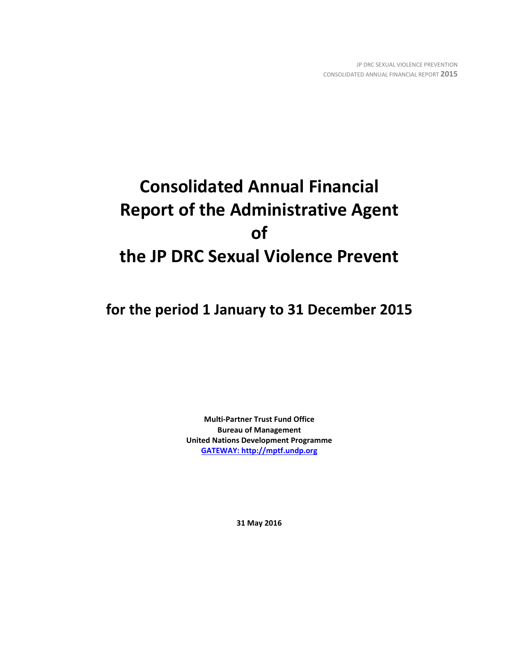# **Consolidated Annual Financial Report of the Administrative Agent of the JP DRC Sexual Violence Prevent**

**for the period 1 January to 31 December 2015**

**Multi-Partner Trust Fund Office Bureau of Management United Nations Development Programme [GATEWAY: http://mptf.undp.org](http://mptf.undp.org/)**

**31 May 2016**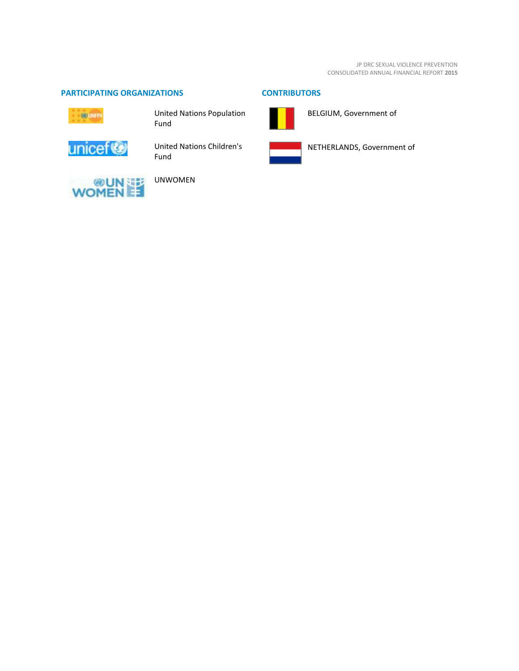JP DRC SEXUAL VIOLENCE PREVENTION CONSOLIDATED ANNUAL FINANCIAL REPORT **2015**

# **PARTICIPATING ORGANIZATIONS CONTRIBUTORS**



United Nations Population Fund



United Nations Children's Fund



NETHERLANDS, Government of

BELGIUM, Government of



UNWOMEN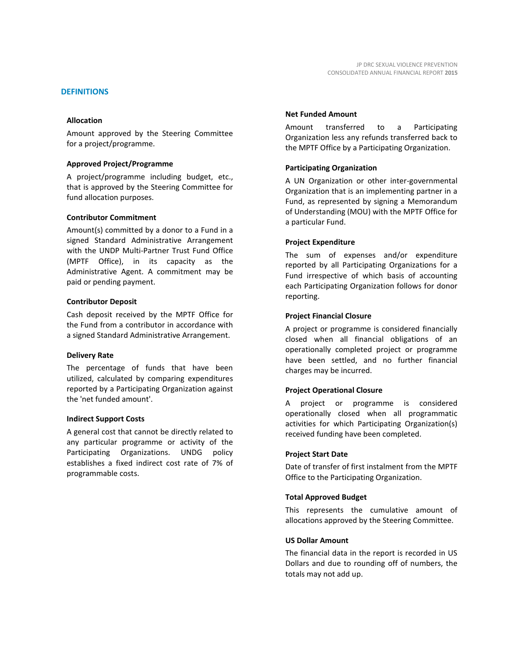# **DEFINITIONS**

## **Allocation**

Amount approved by the Steering Committee for a project/programme.

## **Approved Project/Programme**

A project/programme including budget, etc., that is approved by the Steering Committee for fund allocation purposes.

## **Contributor Commitment**

Amount(s) committed by a donor to a Fund in a signed Standard Administrative Arrangement with the UNDP Multi-Partner Trust Fund Office (MPTF Office), in its capacity as the Administrative Agent. A commitment may be paid or pending payment.

## **Contributor Deposit**

Cash deposit received by the MPTF Office for the Fund from a contributor in accordance with a signed Standard Administrative Arrangement.

#### **Delivery Rate**

The percentage of funds that have been utilized, calculated by comparing expenditures reported by a Participating Organization against the 'net funded amount'.

#### **Indirect Support Costs**

A general cost that cannot be directly related to any particular programme or activity of the Participating Organizations. UNDG policy establishes a fixed indirect cost rate of 7% of programmable costs.

## **Net Funded Amount**

Amount transferred to a Participating Organization less any refunds transferred back to the MPTF Office by a Participating Organization.

# **Participating Organization**

A UN Organization or other inter-governmental Organization that is an implementing partner in a Fund, as represented by signing a Memorandum of Understanding (MOU) with the MPTF Office for a particular Fund.

## **Project Expenditure**

The sum of expenses and/or expenditure reported by all Participating Organizations for a Fund irrespective of which basis of accounting each Participating Organization follows for donor reporting.

### **Project Financial Closure**

A project or programme is considered financially closed when all financial obligations of an operationally completed project or programme have been settled, and no further financial charges may be incurred.

## **Project Operational Closure**

A project or programme is considered operationally closed when all programmatic activities for which Participating Organization(s) received funding have been completed.

## **Project Start Date**

Date of transfer of first instalment from the MPTF Office to the Participating Organization.

# **Total Approved Budget**

This represents the cumulative amount of allocations approved by the Steering Committee.

# **US Dollar Amount**

The financial data in the report is recorded in US Dollars and due to rounding off of numbers, the totals may not add up.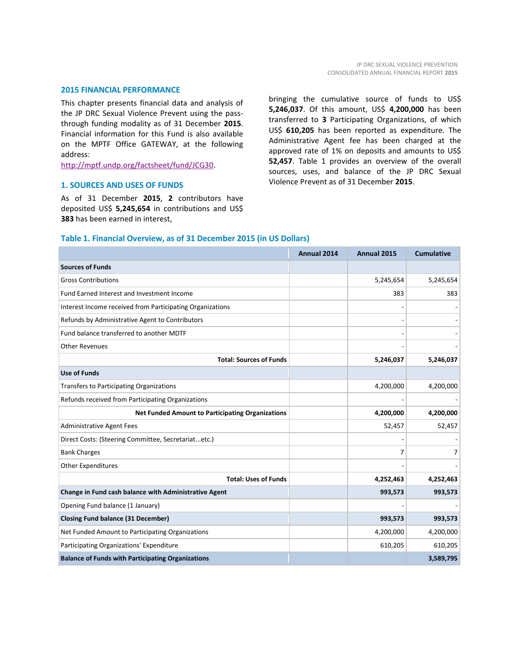# **2015 FINANCIAL PERFORMANCE**

This chapter presents financial data and analysis of the JP DRC Sexual Violence Prevent using the passthrough funding modality as of 31 December **2015**. Financial information for this Fund is also available on the MPTF Office GATEWAY, at the following address:

[http://mptf.undp.org/factsheet/fund/JCG30.](http://mptf.undp.org/factsheet/fund/JCG30)

### **1. SOURCES AND USES OF FUNDS**

As of 31 December **2015**, **2** contributors have deposited US\$ **5,245,654** in contributions and US\$ **383** has been earned in interest,

bringing the cumulative source of funds to US\$ **5,246,037**. Of this amount, US\$ **4,200,000** has been transferred to **3** Participating Organizations, of which US\$ **610,205** has been reported as expenditure. The Administrative Agent fee has been charged at the approved rate of 1% on deposits and amounts to US\$ **52,457**. Table 1 provides an overview of the overall sources, uses, and balance of the JP DRC Sexual Violence Prevent as of 31 December **2015**.

# **Table 1. Financial Overview, as of 31 December 2015 (in US Dollars)**

|                                                           | Annual 2014 | Annual 2015 | <b>Cumulative</b> |
|-----------------------------------------------------------|-------------|-------------|-------------------|
| <b>Sources of Funds</b>                                   |             |             |                   |
| <b>Gross Contributions</b>                                |             | 5,245,654   | 5,245,654         |
| Fund Earned Interest and Investment Income                |             | 383         | 383               |
| Interest Income received from Participating Organizations |             |             |                   |
| Refunds by Administrative Agent to Contributors           |             |             |                   |
| Fund balance transferred to another MDTF                  |             |             |                   |
| <b>Other Revenues</b>                                     |             |             |                   |
| <b>Total: Sources of Funds</b>                            |             | 5,246,037   | 5,246,037         |
| <b>Use of Funds</b>                                       |             |             |                   |
| <b>Transfers to Participating Organizations</b>           |             | 4,200,000   | 4,200,000         |
| Refunds received from Participating Organizations         |             |             |                   |
| <b>Net Funded Amount to Participating Organizations</b>   |             | 4,200,000   | 4,200,000         |
| <b>Administrative Agent Fees</b>                          |             | 52,457      | 52,457            |
| Direct Costs: (Steering Committee, Secretariatetc.)       |             |             |                   |
| <b>Bank Charges</b>                                       |             | 7           | $\overline{7}$    |
| <b>Other Expenditures</b>                                 |             |             |                   |
| <b>Total: Uses of Funds</b>                               |             | 4,252,463   | 4,252,463         |
| Change in Fund cash balance with Administrative Agent     |             | 993,573     | 993,573           |
| Opening Fund balance (1 January)                          |             |             |                   |
| <b>Closing Fund balance (31 December)</b>                 |             | 993,573     | 993,573           |
| Net Funded Amount to Participating Organizations          |             | 4,200,000   | 4,200,000         |
| Participating Organizations' Expenditure                  |             | 610,205     | 610,205           |
| <b>Balance of Funds with Participating Organizations</b>  |             |             | 3,589,795         |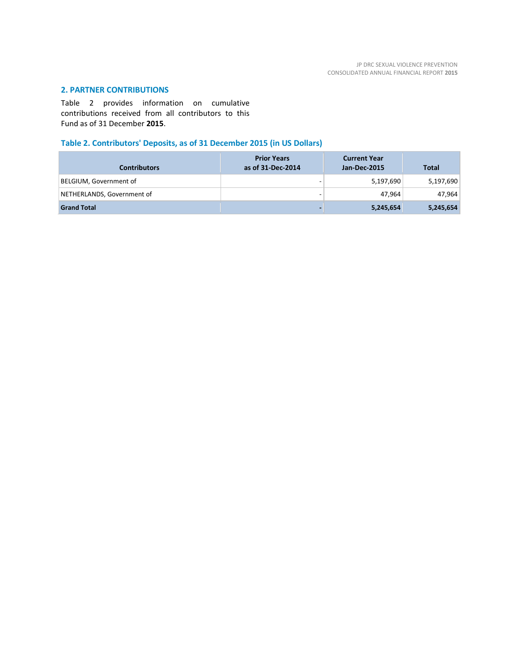# **2. PARTNER CONTRIBUTIONS**

Table 2 provides information on cumulative contributions received from all contributors to this Fund as of 31 December **2015**.

# **Table 2. Contributors' Deposits, as of 31 December 2015 (in US Dollars)**

| <b>Contributors</b>        | <b>Prior Years</b><br>as of 31-Dec-2014 | <b>Current Year</b><br>Jan-Dec-2015 | <b>Total</b> |
|----------------------------|-----------------------------------------|-------------------------------------|--------------|
| BELGIUM, Government of     | $\overline{\phantom{0}}$                | 5,197,690                           | 5,197,690    |
| NETHERLANDS, Government of | $\overline{\phantom{0}}$                | 47.964                              | 47,964       |
| <b>Grand Total</b>         |                                         | 5,245,654                           | 5,245,654    |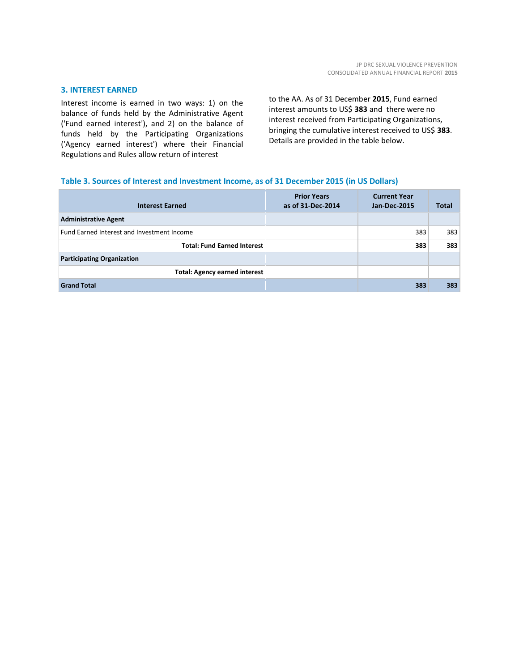# **3. INTEREST EARNED**

Interest income is earned in two ways: 1) on the balance of funds held by the Administrative Agent ('Fund earned interest'), and 2) on the balance of funds held by the Participating Organizations ('Agency earned interest') where their Financial Regulations and Rules allow return of interest

to the AA. As of 31 December **2015**, Fund earned interest amounts to US\$ **383** and there were no interest received from Participating Organizations, bringing the cumulative interest received to US\$ **383**. Details are provided in the table below.

# **Table 3. Sources of Interest and Investment Income, as of 31 December 2015 (in US Dollars)**

| <b>Interest Earned</b>                     | <b>Prior Years</b><br>as of 31-Dec-2014 | <b>Current Year</b><br><b>Jan-Dec-2015</b> | <b>Total</b> |
|--------------------------------------------|-----------------------------------------|--------------------------------------------|--------------|
| <b>Administrative Agent</b>                |                                         |                                            |              |
| Fund Earned Interest and Investment Income |                                         | 383                                        | 383          |
| <b>Total: Fund Earned Interest</b>         |                                         | 383                                        | 383          |
| <b>Participating Organization</b>          |                                         |                                            |              |
| <b>Total: Agency earned interest</b>       |                                         |                                            |              |
| <b>Grand Total</b>                         |                                         | 383                                        | 383          |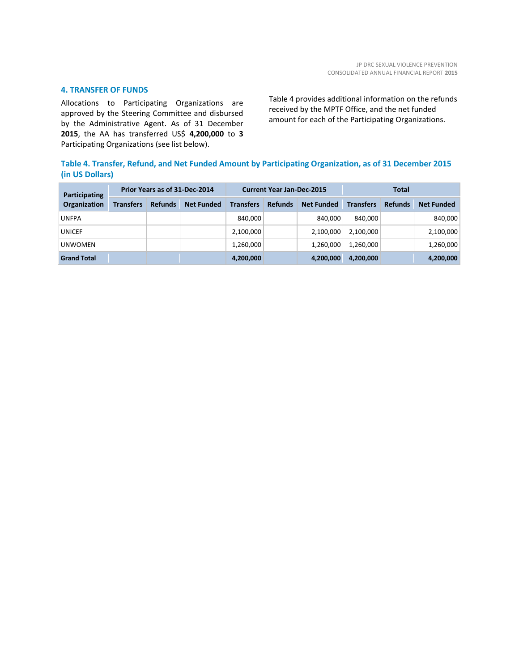# **4. TRANSFER OF FUNDS**

Allocations to Participating Organizations are approved by the Steering Committee and disbursed by the Administrative Agent. As of 31 December **2015**, the AA has transferred US\$ **4,200,000** to **3** Participating Organizations (see list below).

Table 4 provides additional information on the refunds received by the MPTF Office, and the net funded amount for each of the Participating Organizations.

# **Table 4. Transfer, Refund, and Net Funded Amount by Participating Organization, as of 31 December 2015 (in US Dollars)**

| Participating       | Prior Years as of 31-Dec-2014 |                |                   | <b>Current Year Jan-Dec-2015</b> |                |                   | <b>Total</b>     |                |                   |
|---------------------|-------------------------------|----------------|-------------------|----------------------------------|----------------|-------------------|------------------|----------------|-------------------|
| <b>Organization</b> | Transfers                     | <b>Refunds</b> | <b>Net Funded</b> | <b>Transfers</b>                 | <b>Refunds</b> | <b>Net Funded</b> | <b>Transfers</b> | <b>Refunds</b> | <b>Net Funded</b> |
| <b>UNFPA</b>        |                               |                |                   | 840,000                          |                | 840.000           | 840.000          |                | 840,000           |
| <b>UNICEF</b>       |                               |                |                   | 2,100,000                        |                | 2,100,000         | 2,100,000        |                | 2,100,000         |
| <b>UNWOMEN</b>      |                               |                |                   | 1,260,000                        |                | 1,260,000         | 1,260,000        |                | 1,260,000         |
| <b>Grand Total</b>  |                               |                |                   | 4,200,000                        |                | 4,200,000         | 4,200,000        |                | 4,200,000         |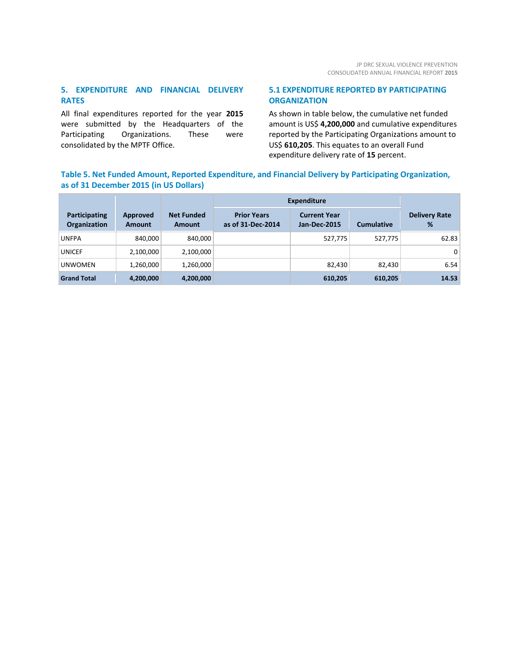# **5. EXPENDITURE AND FINANCIAL DELIVERY RATES**

All final expenditures reported for the year **2015** were submitted by the Headquarters of the Participating Organizations. These were consolidated by the MPTF Office.

# **5.1 EXPENDITURE REPORTED BY PARTICIPATING ORGANIZATION**

As shown in table below, the cumulative net funded amount is US\$ **4,200,000** and cumulative expenditures reported by the Participating Organizations amount to US\$ **610,205**. This equates to an overall Fund expenditure delivery rate of **15** percent.

# **Table 5. Net Funded Amount, Reported Expenditure, and Financial Delivery by Participating Organization, as of 31 December 2015 (in US Dollars)**

|                                      |                           |                                    | <b>Expenditure</b>                      |                                            |                   |                           |
|--------------------------------------|---------------------------|------------------------------------|-----------------------------------------|--------------------------------------------|-------------------|---------------------------|
| Participating<br><b>Organization</b> | Approved<br><b>Amount</b> | <b>Net Funded</b><br><b>Amount</b> | <b>Prior Years</b><br>as of 31-Dec-2014 | <b>Current Year</b><br><b>Jan-Dec-2015</b> | <b>Cumulative</b> | <b>Delivery Rate</b><br>% |
| <b>UNFPA</b>                         | 840,000                   | 840,000                            |                                         | 527,775                                    | 527,775           | 62.83                     |
| <b>UNICEF</b>                        | 2,100,000                 | 2,100,000                          |                                         |                                            |                   | $\overline{0}$            |
| <b>UNWOMEN</b>                       | 1,260,000                 | 1,260,000                          |                                         | 82,430                                     | 82,430            | 6.54                      |
| <b>Grand Total</b>                   | 4,200,000                 | 4,200,000                          |                                         | 610,205                                    | 610,205           | 14.53                     |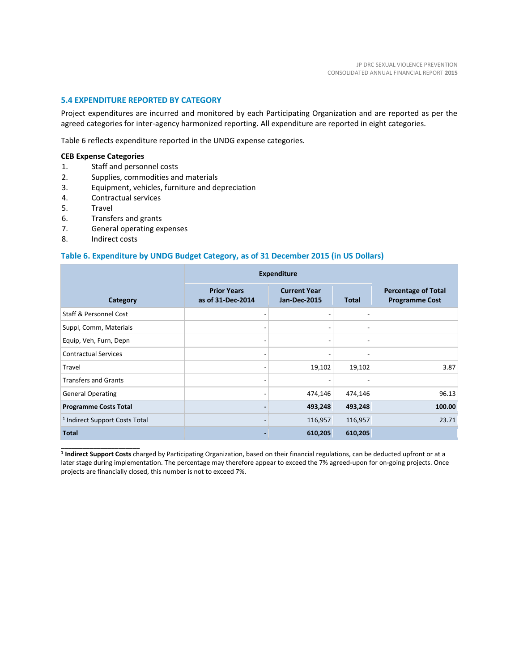# **5.4 EXPENDITURE REPORTED BY CATEGORY**

Project expenditures are incurred and monitored by each Participating Organization and are reported as per the agreed categories for inter-agency harmonized reporting. All expenditure are reported in eight categories.

Table 6 reflects expenditure reported in the UNDG expense categories.

# **CEB Expense Categories**

- 1. Staff and personnel costs
- 2. Supplies, commodities and materials
- 3. Equipment, vehicles, furniture and depreciation
- 4. Contractual services
- 5. Travel
- 6. Transfers and grants
- 7. General operating expenses
- 8. Indirect costs

\_\_\_\_\_\_\_\_\_\_\_\_\_\_\_\_\_\_\_\_\_\_

# **Table 6. Expenditure by UNDG Budget Category, as of 31 December 2015 (in US Dollars)**

|                                           |                                         | <b>Expenditure</b>                         |              |                                                     |
|-------------------------------------------|-----------------------------------------|--------------------------------------------|--------------|-----------------------------------------------------|
| Category                                  | <b>Prior Years</b><br>as of 31-Dec-2014 | <b>Current Year</b><br><b>Jan-Dec-2015</b> | <b>Total</b> | <b>Percentage of Total</b><br><b>Programme Cost</b> |
| <b>Staff &amp; Personnel Cost</b>         |                                         |                                            |              |                                                     |
| Suppl, Comm, Materials                    |                                         |                                            |              |                                                     |
| Equip, Veh, Furn, Depn                    | -                                       | -                                          |              |                                                     |
| <b>Contractual Services</b>               | $\overline{a}$                          | -                                          |              |                                                     |
| Travel                                    | -                                       | 19,102                                     | 19,102       | 3.87                                                |
| <b>Transfers and Grants</b>               | $\overline{\phantom{a}}$                |                                            |              |                                                     |
| <b>General Operating</b>                  | $\overline{a}$                          | 474,146                                    | 474,146      | 96.13                                               |
| <b>Programme Costs Total</b>              | $\overline{a}$                          | 493,248                                    | 493,248      | 100.00                                              |
| <sup>1</sup> Indirect Support Costs Total | -                                       | 116,957                                    | 116,957      | 23.71                                               |
| <b>Total</b>                              |                                         | 610,205                                    | 610,205      |                                                     |

**1 Indirect Support Costs** charged by Participating Organization, based on their financial regulations, can be deducted upfront or at a later stage during implementation. The percentage may therefore appear to exceed the 7% agreed-upon for on-going projects. Once projects are financially closed, this number is not to exceed 7%.